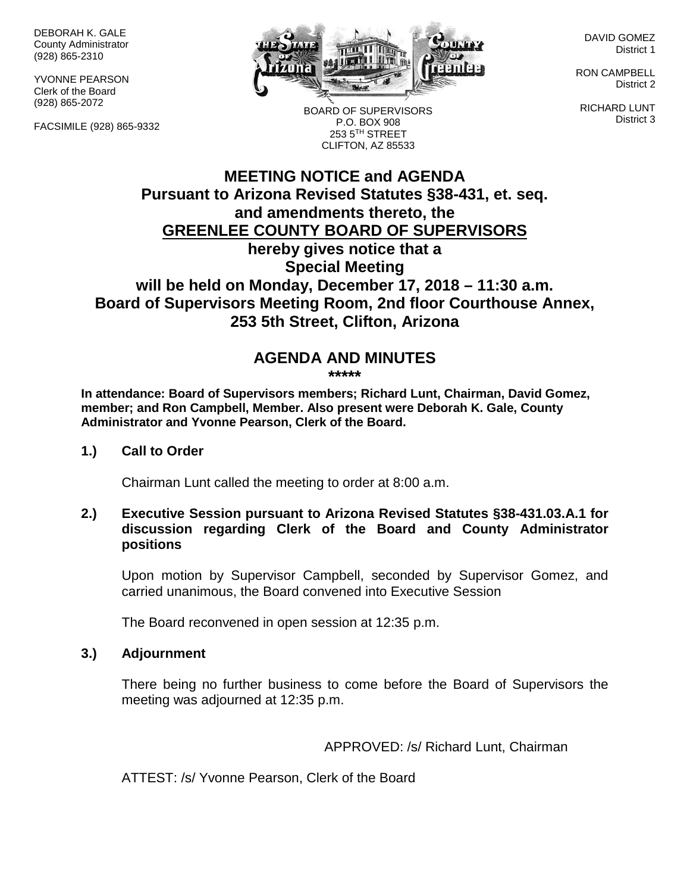DEBORAH K. GALE County Administrator (928) 865-2310

YVONNE PEARSON Clerk of the Board (928) 865-2072

FACSIMILE (928) 865-9332



DAVID GOMEZ District 1

RON CAMPBELL District 2

RICHARD LUNT District 3

**MEETING NOTICE and AGENDA** P.O. BOX 908 253 5TH STREET CLIFTON, AZ 85533

BOARD OF SUPERVISORS

# **Pursuant to Arizona Revised Statutes §38-431, et. seq. and amendments thereto, the GREENLEE COUNTY BOARD OF SUPERVISORS hereby gives notice that a Special Meeting will be held on Monday, December 17, 2018 – 11:30 a.m. Board of Supervisors Meeting Room, 2nd floor Courthouse Annex, 253 5th Street, Clifton, Arizona**

# **AGENDA AND MINUTES**

**\*\*\*\*\***

**In attendance: Board of Supervisors members; Richard Lunt, Chairman, David Gomez, member; and Ron Campbell, Member. Also present were Deborah K. Gale, County Administrator and Yvonne Pearson, Clerk of the Board.** 

#### **1.) Call to Order**

Chairman Lunt called the meeting to order at 8:00 a.m.

### **2.) Executive Session pursuant to Arizona Revised Statutes §38-431.03.A.1 for discussion regarding Clerk of the Board and County Administrator positions**

Upon motion by Supervisor Campbell, seconded by Supervisor Gomez, and carried unanimous, the Board convened into Executive Session

The Board reconvened in open session at 12:35 p.m.

#### **3.) Adjournment**

There being no further business to come before the Board of Supervisors the meeting was adjourned at 12:35 p.m.

### APPROVED: /s/ Richard Lunt, Chairman

ATTEST: /s/ Yvonne Pearson, Clerk of the Board